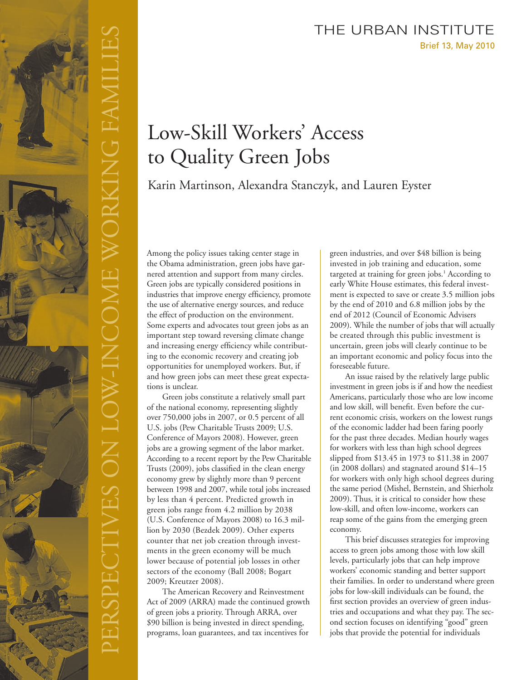## Brief 13, May 2010 THE URBAN INSTITUTE

# Low-Skill Workers' Access to Quality Green Jobs

Karin Martinson, Alexandra Stanczyk, and Lauren Eyster

Among the policy issues taking center stage in the Obama administration, green jobs have garnered attention and support from many circles. Green jobs are typically considered positions in industries that improve energy efficiency, promote the use of alternative energy sources, and reduce the effect of production on the environment. Some experts and advocates tout green jobs as an important step toward reversing climate change and increasing energy efficiency while contributing to the economic recovery and creating job opportunities for unemployed workers. But, if and how green jobs can meet these great expectations is unclear.

Green jobs constitute a relatively small part of the national economy, representing slightly over 750,000 jobs in 2007, or 0.5 percent of all U.S. jobs (Pew Charitable Trusts 2009; U.S. Conference of Mayors 2008). However, green jobs are a growing segment of the labor market. According to a recent report by the Pew Charitable Trusts (2009), jobs classified in the clean energy economy grew by slightly more than 9 percent between 1998 and 2007, while total jobs increased by less than 4 percent. Predicted growth in green jobs range from 4.2 million by 2038 (U.S. Conference of Mayors 2008) to 16.3 million by 2030 (Bezdek 2009). Other experts counter that net job creation through investments in the green economy will be much lower because of potential job losses in other sectors of the economy (Ball 2008; Bogart 2009; Kreutzer 2008).

The American Recovery and Reinvestment Act of 2009 (ARRA) made the continued growth of green jobs a priority. Through ARRA, over \$90 billion is being invested in direct spending, programs, loan guarantees, and tax incentives for

green industries, and over \$48 billion is being invested in job training and education, some targeted at training for green jobs.<sup>1</sup> According to early White House estimates, this federal investment is expected to save or create 3.5 million jobs by the end of 2010 and 6.8 million jobs by the end of 2012 (Council of Economic Advisers 2009). While the number of jobs that will actually be created through this public investment is uncertain, green jobs will clearly continue to be an important economic and policy focus into the foreseeable future.

An issue raised by the relatively large public investment in green jobs is if and how the neediest Americans, particularly those who are low income and low skill, will benefit. Even before the current economic crisis, workers on the lowest rungs of the economic ladder had been faring poorly for the past three decades. Median hourly wages for workers with less than high school degrees slipped from \$13.45 in 1973 to \$11.38 in 2007 (in 2008 dollars) and stagnated around \$14–15 for workers with only high school degrees during the same period (Mishel, Bernstein, and Shierholz 2009). Thus, it is critical to consider how these low-skill, and often low-income, workers can reap some of the gains from the emerging green economy.

This brief discusses strategies for improving access to green jobs among those with low skill levels, particularly jobs that can help improve workers' economic standing and better support their families. In order to understand where green jobs for low-skill individuals can be found, the first section provides an overview of green industries and occupations and what they pay. The second section focuses on identifying "good" green jobs that provide the potential for individuals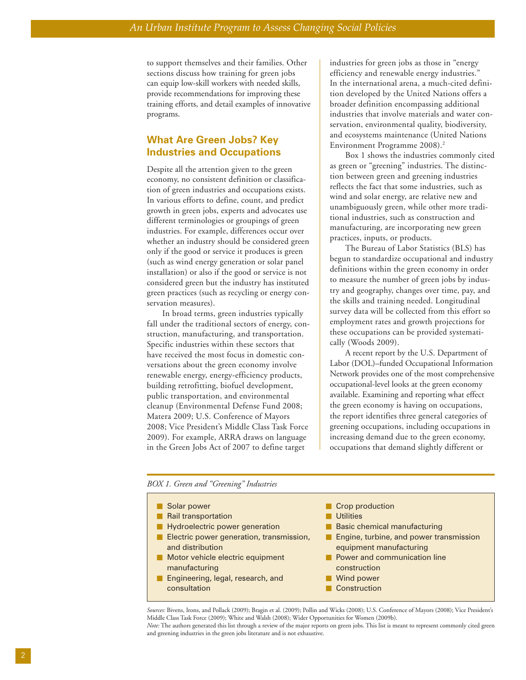to support themselves and their families. Other sections discuss how training for green jobs can equip low-skill workers with needed skills, provide recommendations for improving these training efforts, and detail examples of innovative programs.

### **What Are Green Jobs? Key Industries and Occupations**

Despite all the attention given to the green economy, no consistent definition or classification of green industries and occupations exists. In various efforts to define, count, and predict growth in green jobs, experts and advocates use different terminologies or groupings of green industries. For example, differences occur over whether an industry should be considered green only if the good or service it produces is green (such as wind energy generation or solar panel installation) or also if the good or service is not considered green but the industry has instituted green practices (such as recycling or energy conservation measures).

In broad terms, green industries typically fall under the traditional sectors of energy, construction, manufacturing, and transportation. Specific industries within these sectors that have received the most focus in domestic conversations about the green economy involve renewable energy, energy-efficiency products, building retrofitting, biofuel development, public transportation, and environmental cleanup (Environmental Defense Fund 2008; Matera 2009; U.S. Conference of Mayors 2008; Vice President's Middle Class Task Force 2009). For example, ARRA draws on language in the Green Jobs Act of 2007 to define target

industries for green jobs as those in "energy efficiency and renewable energy industries." In the international arena, a much-cited definition developed by the United Nations offers a broader definition encompassing additional industries that involve materials and water conservation, environmental quality, biodiversity, and ecosystems maintenance (United Nations Environment Programme 2008).2

Box 1 shows the industries commonly cited as green or "greening" industries. The distinction between green and greening industries reflects the fact that some industries, such as wind and solar energy, are relative new and unambiguously green, while other more traditional industries, such as construction and manufacturing, are incorporating new green practices, inputs, or products.

The Bureau of Labor Statistics (BLS) has begun to standardize occupational and industry definitions within the green economy in order to measure the number of green jobs by industry and geography, changes over time, pay, and the skills and training needed. Longitudinal survey data will be collected from this effort so employment rates and growth projections for these occupations can be provided systematically (Woods 2009).

A recent report by the U.S. Department of Labor (DOL)–funded Occupational Information Network provides one of the most comprehensive occupational-level looks at the green economy available. Examining and reporting what effect the green economy is having on occupations, the report identifies three general categories of greening occupations, including occupations in increasing demand due to the green economy, occupations that demand slightly different or

#### *BOX 1. Green and "Greening" Industries*

| Solar power                              | Crop production                         |
|------------------------------------------|-----------------------------------------|
| Rail transportation                      | <b>Utilities</b>                        |
| Hydroelectric power generation           | <b>Basic chemical manufacturing</b>     |
| Electric power generation, transmission, | Engine, turbine, and power transmission |
| and distribution                         | equipment manufacturing                 |
| Motor vehicle electric equipment         | Power and communication line            |
| manufacturing                            | construction                            |
| Engineering, legal, research, and        | Wind power                              |
| consultation                             | Construction                            |

*Sources:* Bivens, Irons, and Pollack (2009); Bragin et al. (2009); Pollin and Wicks (2008); U.S. Conference of Mayors (2008); Vice President's Middle Class Task Force (2009); White and Walsh (2008); Wider Opportunities for Women (2009b). *Note:* The authors generated this list through a review of the major reports on green jobs. This list is meant to represent commonly cited green and greening industries in the green jobs literature and is not exhaustive.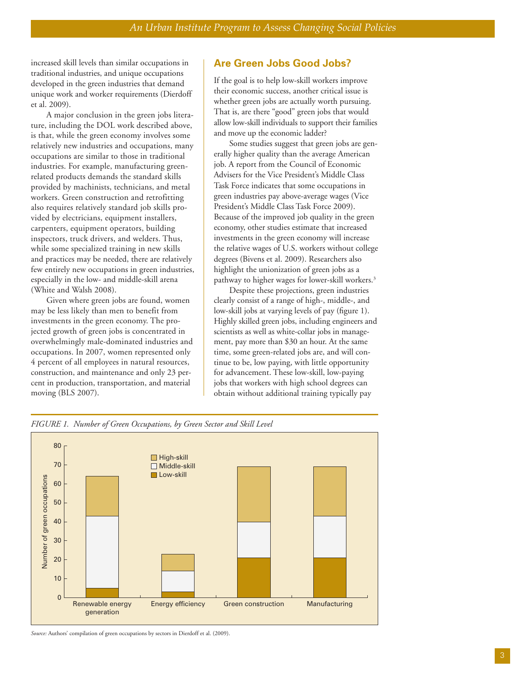increased skill levels than similar occupations in traditional industries, and unique occupations developed in the green industries that demand unique work and worker requirements (Dierdoff et al. 2009).

A major conclusion in the green jobs literature, including the DOL work described above, is that, while the green economy involves some relatively new industries and occupations, many occupations are similar to those in traditional industries. For example, manufacturing greenrelated products demands the standard skills provided by machinists, technicians, and metal workers. Green construction and retrofitting also requires relatively standard job skills provided by electricians, equipment installers, carpenters, equipment operators, building inspectors, truck drivers, and welders. Thus, while some specialized training in new skills and practices may be needed, there are relatively few entirely new occupations in green industries, especially in the low- and middle-skill arena (White and Walsh 2008).

Given where green jobs are found, women may be less likely than men to benefit from investments in the green economy. The projected growth of green jobs is concentrated in overwhelmingly male-dominated industries and occupations. In 2007, women represented only 4 percent of all employees in natural resources, construction, and maintenance and only 23 percent in production, transportation, and material moving (BLS 2007).

### **Are Green Jobs Good Jobs?**

If the goal is to help low-skill workers improve their economic success, another critical issue is whether green jobs are actually worth pursuing. That is, are there "good" green jobs that would allow low-skill individuals to support their families and move up the economic ladder?

Some studies suggest that green jobs are generally higher quality than the average American job. A report from the Council of Economic Advisers for the Vice President's Middle Class Task Force indicates that some occupations in green industries pay above-average wages (Vice President's Middle Class Task Force 2009). Because of the improved job quality in the green economy, other studies estimate that increased investments in the green economy will increase the relative wages of U.S. workers without college degrees (Bivens et al. 2009). Researchers also highlight the unionization of green jobs as a pathway to higher wages for lower-skill workers.<sup>3</sup>

Despite these projections, green industries clearly consist of a range of high-, middle-, and low-skill jobs at varying levels of pay (figure 1). Highly skilled green jobs, including engineers and scientists as well as white-collar jobs in management, pay more than \$30 an hour. At the same time, some green-related jobs are, and will continue to be, low paying, with little opportunity for advancement. These low-skill, low-paying jobs that workers with high school degrees can obtain without additional training typically pay



*FIGURE 1. Number of Green Occupations, by Green Sector and Skill Level*

*Source:* Authors' compilation of green occupations by sectors in Dierdoff et al. (2009).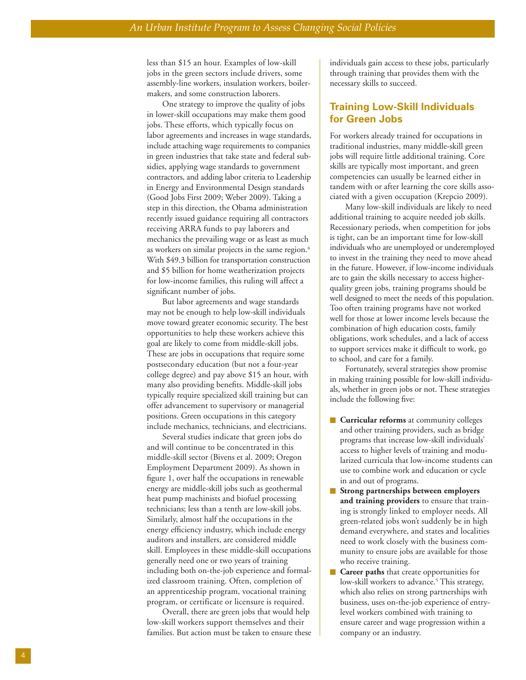less than \$15 an hour. Examples of low-skill jobs in the green sectors include drivers, some assembly-line workers, insulation workers, boilermakers, and some construction laborers.

One strategy to improve the quality of jobs in lower-skill occupations may make them good jobs. These efforts, which typically focus on labor agreements and increases in wage standards, include attaching wage requirements to companies in green industries that take state and federal subsidies, applying wage standards to government contractors, and adding labor criteria to Leadership in Energy and Environmental Design standards (Good Jobs First 2009; Weber 2009). Taking a step in this direction, the Obama administration recently issued guidance requiring all contractors receiving ARRA funds to pay laborers and mechanics the prevailing wage or as least as much as workers on similar projects in the same region. 4 With \$49.3 billion for transportation construction and \$5 billion for home weatherization projects for low-income families, this ruling will affect a significant number of jobs.

But labor agreements and wage standards may not be enough to help low-skill individuals mo v e toward greater economic security. The best opportunities to help these workers achiev e this goal ar e likely to come from middle-skill jobs. These are jobs in occupations that require some postsecondary education (but not a four-year college degree) and pay abo v e \$15 an hour, with many also pr oviding benefits. Middle-skill jobs typically requir e specialized skill training but can offer advancement to supervisory or managerial positions. G reen occupations in this category include mechanics, technicians, and electricians.

Several studies indicate that green jobs do and will continue to be concentrated in this middle-skill sector (Bivens et al. 2009; Oregon Employment Department 2009). As shown in figure 1, over half the occupations in renewable energy are middle-skill jobs such as geothermal heat pump machinists and biofuel processing technicians; less than a tenth are low-skill jobs. Similarly, almost half the occupations in the energy efficiency industry, which include energy auditors and installers, are considered middle skill. Employees in these middle-skill occupations generally need one or two years of training including both on-the-job experience and formalized classroom training. Often, completion of an apprenticeship program, vocational training program, or certificate or licensure is required.

Overall, there are green jobs that would help low-skill workers support themselves and their families. But action must be taken to ensure these individuals gain access to these jobs, particularly through training that provides them with the necessary skills to succeed.

### **Training Low-Skill Individuals for Green Jobs**

For workers already trained for occupations in traditional industries, many middle-skill green jobs will require little additional training. Core skills are typically most important, and green competencies can usually be learned either in tandem with or after learning the core skills associated with a given occupation (Krepcio 2009).

Many low-skill individuals are likely to need additional training to acquire needed job skills. Recessionary periods, when competition for jobs is tight, can be an important time for low-skill individuals who are unemployed or underemployed to invest in the training they need to move ahead in the future. H o wever, if low-income individuals are to gain the skills necessary to access higherquality green jobs, training programs should be well designed to meet the needs of this population. Too often training programs have not worked well for those at lower income levels because the combination of high education costs, family obligations, wor k schedules, and a lack of access to suppor t services make it difficult to work, go to school, and car e for a family.

Fortunately, several strategies sho w promise in making training possible for low-skill individuals, whether in green jobs or not. These strategies include the following five:

- **n Curricular reforms** at community colleges and other training providers, such as bridge programs that increase low-skill individuals ' access to higher levels of training and modularized curricula that low-income students can use to combine work and education or cycle in and out of programs.
- **m Strong partnerships between employers and training providers** to ensure that training is strongly linked to employer needs. All green-related jobs won't suddenly be in high demand everywhere, and states and localities need to wor k closely with the business community to ensure jobs are available for those who receive training.
- **m Career paths** that create opportunities for low-skill workers to advance. <sup>5</sup> This strategy, which also relies on strong partnerships with business, uses on-the-job experience of entrylevel workers combined with training to ensure career and wage progression within a company or an industr y.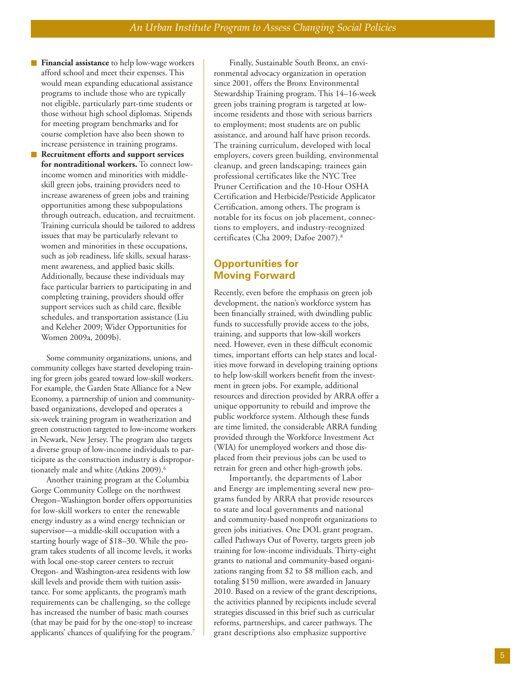- **Financial assistance** to help low-wage workers afford school and meet their expenses. This would mean expanding educational assistance programs to include those who are typically not eligible, particularly part-time students or those without high school diplomas. Stipends for meeting program benchmarks and for course completion have also been shown to increase persistence in training programs.
- **m Recruitment efforts and support services for nontraditional workers.** To connect lowincome women and minorities with middleskill green jobs, training providers need to increase awareness of green jobs and training opportunities among these subpopulations through outreach, education, and recruitment. Training curricula should be tailored to address issues that may be particularly relevant to women and minorities in these occupations, such as job readiness, life skills, sexual harassment awareness, and applied basic skills. Additionally, because these individuals may face particular barriers to participating in and completing training, providers should offer support services such as child care, flexible schedules, and transportation assistance (Liu and Keleher 2009; Wider Opportunities for Women 2009a, 2009b).

Some community organizations, unions, and community colleges have started developing training for green jobs geared toward low-skill workers. For example, the Garden State Alliance for a New Economy, a partnership of union and communitybased organizations, developed and operates a six-week training program in weatherization and green construction targeted to low-income workers in N ewark, New Jersey. The program also targets a diverse group of low-income individuals to participate as the construction industry is disproportionately male and white (Atkins 2009).<sup>6</sup>

Another training program at the Columbia Gorge Community College on the northwest Oregon–Washington border offers opportunities for low-skill workers to enter the renewable energy industry as a wind energy technician or supervisor—a middle-skill occupation with a starting hourly wage of \$18–30. While the program takes students of all income levels, it works with local one-stop career centers to recruit Oregon- and Washington-area residents with low skill levels and provide them with tuition assistance. For some applicants, the program's math requirements can be challenging, so the college has increased the number of basic math courses (that may be paid for by the one-stop) to increase applicants ' chances of qualifying for the program. 7

Finally, Sustainable South Bronx, an environmental advocacy organization in operation since 2001, offers the Bronx Environmental Stewardship Training program. This 14–16-week green jobs training program is targeted at lowincome residents and those with serious barriers to employment; most students are on public assistance, and around half have prison records. The training curriculum, developed with local employers, covers green building, environmental cleanup, and green landscaping; trainees gain professional certificates like the NYC Tree Pruner Certification and the 10-Hour OSHA Certification and Herbicide/Pesticide Applicator Certification, among others. The program is notable for its focus on job placement, connections to employers, and industry-recognized certificates (Cha 2009; Dafoe 2007). 8

## **Opportunities for Moving Forward**

Recently, even before the emphasis on green job development, the nation's workforce system has been financially strained, with dwindling public funds to successfully provide access to the jobs, training, and supports that low-skill workers need. However, even in these difficult economic times, important efforts can help states and local ities move forward in developing training options to help low-skill workers benefit from the investment in green jobs. For example, additional resources and direction provided by ARRA offer a unique opportunity to rebuild and improve the public workforce system. Although these funds are time limited, the considerable ARRA funding provided through the Workforce Investment Act (WIA) for unemployed workers and those displaced from their previous jobs can be used to retrain for green and other high-growth jobs.

Importantly, the departments of Labor and Energy are implementing several new programs funded by ARRA that provide resources to state and local governments and national and community-based nonprofit organizations to green jobs initiatives. One DOL grant program, called Pathways Out of Poverty, targets green job training for low-income individuals. Thirty-eight grants to national and community-based organizations ranging from \$2 to \$8 million each, and totaling \$150 million, were awarded in January 2010. Based on a review of the grant descriptions, the activities planned b y recipients include several strategies discussed in this brief such as curricular reforms, partnerships, and career pathways. The grant descriptions also emphasiz e supportive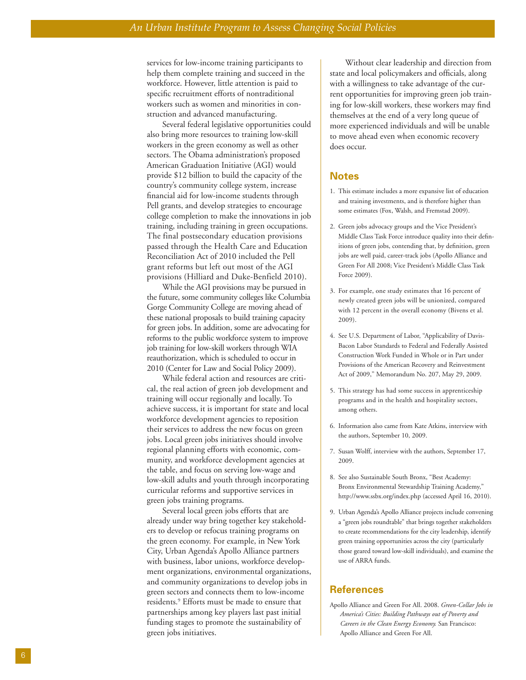services for low-income training participants to help them complete training and succeed in the workforce. However, little attention is paid to specific recruitment efforts of nontraditional workers such as women and minorities in construction and advanced manufacturing.

Several federal legislative opportunities could also bring more resources to training low-skill workers in the green economy as well as other sectors. The Obama administration's proposed American Graduation Initiative (AGI) would provide \$12 billion to build the capacity of the country's community college system, increase financial aid for low-income students through Pell grants, and develop strategies to encourage college completion to make the innovations in job training, including training in green occupations. The final postsecondary education provisions passed through the Health Care and Education Reconciliation Act of 2010 included the Pell grant reforms but left out most of the AGI provisions (Hilliard and Duke-Benfield 2010).

While the AGI pr ovisions may be pursued in the future, some community colleges like Columbia Gorge Community College are moving ahead of these national proposals to build training capacity for green jobs. I n addition, some ar e advocating for reforms to the public workforce system to improve job training for low-skill workers through WIA reauthorization, which is scheduled to occur in 2010 (Center for Law and Social Policy 2009).

While federal action and resources are critical, the real action of green job development and training will occur regionally and locally. To achieve success, it is important for state and local workforce development agencies to reposition their services to address the new focus on green jobs. Local green jobs initiatives should involve regional planning efforts with economic, community, and workforce development agencies at the table, and focus on serving low-wage and low-skill adults and youth through incorporating curricular reforms and supportive services in green jobs training programs.

Several local green jobs efforts that are already under way bring together key stakeholders to develop or refocus training programs on the green economy. For example, in New York City, Urban Agenda's Apollo Alliance partners with business, labor unions, workforce development organizations, environmental organizations, and community organizations to develop jobs in green sectors and connects them to low-income residents. <sup>9</sup> Efforts must be made to ensure that partnerships among key players last past initial funding stages to promote the sustainability of green jobs initiatives.

Without clear leadership and direction from state and local policymakers and officials, along with a willingness to take advantage of the cur rent opportunities for improving green job training for low-skill workers, these workers may find themselves at the end of a very long queue of more experienced individuals and will be unable to move ahead even when economic recovery does occur.

#### **Notes**

- 1. This estimate includes a more expansive list of education and training investments, and is therefore higher than some estimates (Fox, Walsh, and Fremstad 2009).
- 2. Green jobs advocacy groups and the Vice President's Middle Class Task Force introduce quality into their definitions of green jobs, contending that, by definition, green jobs are well paid, career-track jobs (Apollo Alliance and Green For All 2008; Vice President's Middle Class Task Force 2009).
- 3. For example, one study estimates that 16 percent of newly created green jobs will be unionized, compared with 12 percent in the o verall economy (Bivens et al. 2009).
- 4. See U.S. Department of Labor, "Applicability of Davis-Bacon Labor Standards to Federal and Federally Assisted Construction Work Funded in Whole or in Part under Provisions of the American Recovery and Reinvestment Act of 2009," Memorandum No. 207, May 29, 2009.
- 5. This strategy has had some success in apprenticeship programs and in the health and hospitality sectors, among others.
- 6. Information also came from Kate Atkins, interview with the authors, September 10, 2009.
- 7. Susan Wolff, interview with the authors, September 17, 2009.
- 8. See also Sustainable South Bronx, "Best Academy: Bronx Environmental Stewardship Training Academy," http://www.ssbx.org/index.php (accessed April 16, 2010).
- 9. Urban Agenda's Apollo Alliance projects include convening a "green jobs roundtable " that brings together stakeholders to create recommendations for the city leadership , identify green training opportunities across the city (particularly those geared towar d low-skill individuals), and examine the use of ARRA funds.

#### **References**

Apollo Alliance and Green For All. 2008. *Green-Collar Jobs in America's Cities: Building Pathways out of Poverty and Careers in the Clean Energy Economy.* San Francisco: Apollo Alliance and Green For All.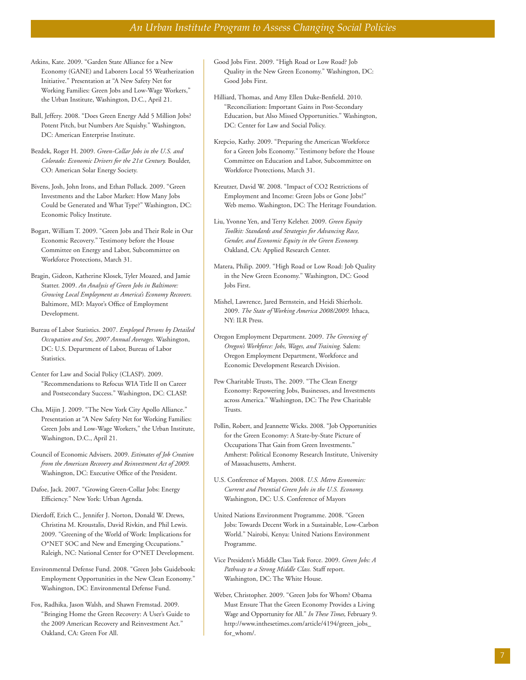- Atkins, Kate. 2009. "Garden State Alliance for a New Economy (GANE) and Laborers Local 55 Weatherization Initiative." Presentation at "A New Safety Net for Working Families: Green Jobs and Low-Wage Workers," the Urban Institute, Washington, D.C., April 21.
- Ball, Jeffery. 2008. "Does Green Energy Add 5 Million Jobs? Potent Pitch, but Numbers Are Squishy." Washington, DC: American Enterprise Institute.
- Bezdek, Roger H. 2009. *Green-Collar Jobs in the U.S. and Colorado: Economic Drivers for the 21st Century.* Boulder, CO: American Solar Energy Society.
- Bivens, Josh, John Irons, and Ethan Pollack. 2009. "Green Investments and the Labor Market: How Many Jobs Could be Generated and What Type?" Washington, DC: Economic Policy Institute.
- Bogart, William T. 2009. "Green Jobs and Their Role in Our Economic Recovery." Testimony before the House Committee on Energy and Labor, Subcommittee on Workforce Protections, March 31.
- Bragin, Gideon, Katherine Klosek, Tyler Moazed, and Jamie Statter. 2009. *An Analysis of Green Jobs in Baltimore: Growing Local Employment as America's Economy Recovers.* Baltimore, MD: Mayor's Office of Employment Development.
- Bureau of Labor Statistics. 2007. *Employed Persons by Detailed Occupation and Sex, 2007 Annual Averages.* Washington, DC: U.S. Department of Labor, Bureau of Labor Statistics.
- Center for Law and Social Policy (CLASP). 2009. "Recommendations to Refocus WIA Title II on Career and Postsecondary Success." Washington, DC: CLASP.
- Cha, Mijin J. 2009. "The New York City Apollo Alliance." Presentation at "A New Safety Net for Working Families: Green Jobs and Low-Wage Workers," the Urban Institute, Washington, D.C., April 21.
- Council of Economic Advisers. 2009. *Estimates of Job Creation from the American Recovery and Reinvestment Act of 2009.* Washington, DC: Executive Office of the President.
- Dafoe, Jack. 2007. "Growing Green-Collar Jobs: Energy Efficiency." New York: Urban Agenda.
- Dierdoff, Erich C., Jennifer J. Norton, Donald W. Drews, Christina M. Kroustalis, David Rivkin, and Phil Lewis. 2009. "Greening of the World of Work: Implications for O\*NET SOC and New and Emerging Occupations." Raleigh, NC: National Center for O\*NET Development.
- Environmental Defense Fund. 2008. "Green Jobs Guidebook: Employment Opportunities in the New Clean Economy." Washington, DC: Environmental Defense Fund.
- Fox, Radhika, Jason Walsh, and Shawn Fremstad. 2009. "Bringing Home the Green Recovery: A User's Guide to the 2009 American Recovery and Reinvestment Act." Oakland, CA: Green For All.
- Good Jobs First. 2009. "High Road or Low Road? Job Quality in the New Green Economy." Washington, DC: Good Jobs First.
- Hilliard, Thomas, and Amy Ellen Duke-Benfield. 2010. "Reconciliation: Important Gains in Post-Secondary Education, but Also Missed Opportunities." Washington, DC: Center for Law and Social Policy.
- Krepcio, Kathy. 2009. "Preparing the American Workforce for a Green Jobs Economy." Testimony before the House Committee on Education and Labor, Subcommittee on Workforce Protections, March 31.
- Kreutzer, David W. 2008. "Impact of CO2 Restrictions of Employment and Income: Green Jobs or Gone Jobs?" Web memo. Washington, DC: The Heritage Foundation.
- Liu, Yvonne Yen, and Terry Keleher. 2009. *Green Equity Toolkit: Standards and Strategies for Advancing Race, Gender, and Economic Equity in the Green Economy.* Oakland, CA: Applied Research Center.
- Matera, Philip. 2009. "High Road or Low Road: Job Quality in the New Green Economy." Washington, DC: Good Jobs First.
- Mishel, Lawrence, Jared Bernstein, and Heidi Shierholz. 2009. *The State of Working America 2008/2009.* Ithaca, NY: ILR Press.
- Oregon Employment Department. 2009. *The Greening of Oregon's Workforce: Jobs, Wages, and Training.* Salem: Oregon Employment Department, Workforce and Economic Development Research Division.
- Pew Charitable Trusts, The. 2009. "The Clean Energy Economy: Repowering Jobs, Businesses, and Investments across America." Washington, DC: The Pew Charitable Trusts.
- Pollin, Robert, and Jeannette Wicks. 2008. "Job Opportunities for the Green Economy: A State-by-State Picture of Occupations That Gain from Green Investments." Amherst: Political Economy Research Institute, University of Massachusetts, Amherst.
- U.S. Conference of Mayors. 2008. *U.S. Metro Economies: Current and Potential Green Jobs in the U.S. Economy.* Washington, DC: U.S. Conference of Mayors
- United Nations Environment Programme. 2008. "Green Jobs: Towards Decent Work in a Sustainable, Low-Carbon World." Nairobi, Kenya: United Nations Environment Programme.
- Vice President's Middle Class Task Force. 2009. *Green Jobs: A Pathway to a Strong Middle Class.* Staff report. Washington, DC: The White House.
- Weber, Christopher. 2009. "Green Jobs for Whom? Obama Must Ensure That the Green Economy Provides a Living Wage and Opportunity for All." *In These Times,* February 9. http://www.inthesetimes.com/article/4194/green\_jobs\_ for\_whom/.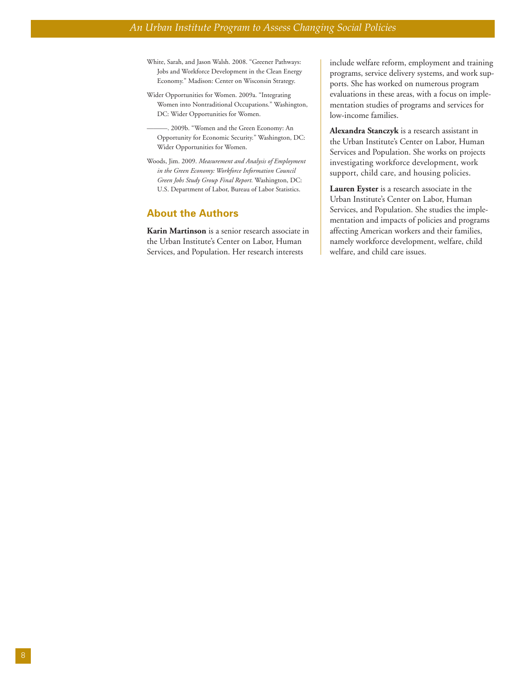- White, Sarah, and Jason Walsh. 2008. "Greener Pathways: Jobs and Workforce Development in the Clean Energy Economy." Madison: Center on Wisconsin Strategy.
- Wider Opportunities for Women. 2009a. "Integrating Women into Nontraditional Occupations." Washington, DC: Wider Opportunities for Women.
- -. 2009b. "Women and the Green Economy: An Opportunity for Economic Security." Washington, DC: Wider Opportunities for Women.
- Woods, Jim. 2009. *Measurement and Analysis of Employment in the Green Economy: Workforce Information Council Green Jobs Study Group Final Report.* Washington, DC: U.S. Department of Labor, Bureau of Labor Statistics.

#### **About the Authors**

**Karin Martinson** is a senior research associate in the Urban Institute's Center on Labor, Human Services, and Population. Her research interests

include welfare reform, employment and training programs, service delivery systems, and work supports. She has worked on numerous program evaluations in these areas, with a focus on implementation studies of programs and services for low-income families.

**Alexandra Stanczyk** is a research assistant in the Urban Institute's Center on Labor, Human Services and Population. She works on projects investigating workforce development, work support, child care, and housing policies.

**Lauren Eyster** is a research associate in the Urban Institute's Center on Labor, Human Services, and Population. She studies the implementation and impacts of policies and programs affecting American workers and their families, namely workforce development, welfare, child welfare, and child care issues.